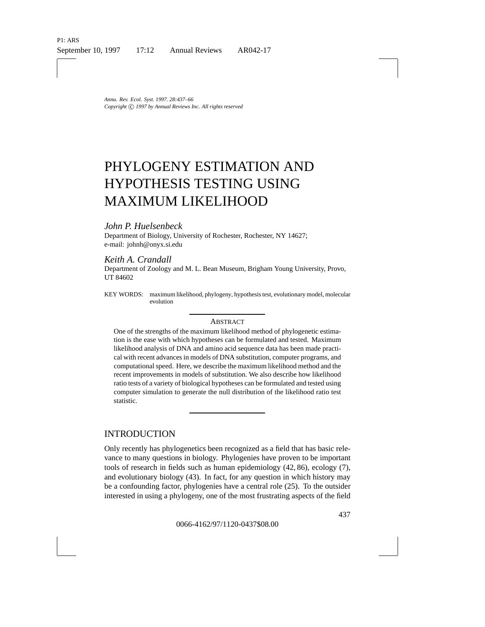# PHYLOGENY ESTIMATION AND HYPOTHESIS TESTING USING MAXIMUM LIKELIHOOD

#### *John P. Huelsenbeck*

Department of Biology, University of Rochester, Rochester, NY 14627; e-mail: johnh@onyx.si.edu

#### *Keith A. Crandall*

Department of Zoology and M. L. Bean Museum, Brigham Young University, Provo, UT 84602

KEY WORDS: maximum likelihood, phylogeny, hypothesis test, evolutionary model, molecular evolution

#### ABSTRACT

One of the strengths of the maximum likelihood method of phylogenetic estimation is the ease with which hypotheses can be formulated and tested. Maximum likelihood analysis of DNA and amino acid sequence data has been made practical with recent advances in models of DNA substitution, computer programs, and computational speed. Here, we describe the maximum likelihood method and the recent improvements in models of substitution. We also describe how likelihood ratio tests of a variety of biological hypotheses can be formulated and tested using computer simulation to generate the null distribution of the likelihood ratio test statistic.

# INTRODUCTION

Only recently has phylogenetics been recognized as a field that has basic relevance to many questions in biology. Phylogenies have proven to be important tools of research in fields such as human epidemiology (42, 86), ecology (7), and evolutionary biology (43). In fact, for any question in which history may be a confounding factor, phylogenies have a central role (25). To the outsider interested in using a phylogeny, one of the most frustrating aspects of the field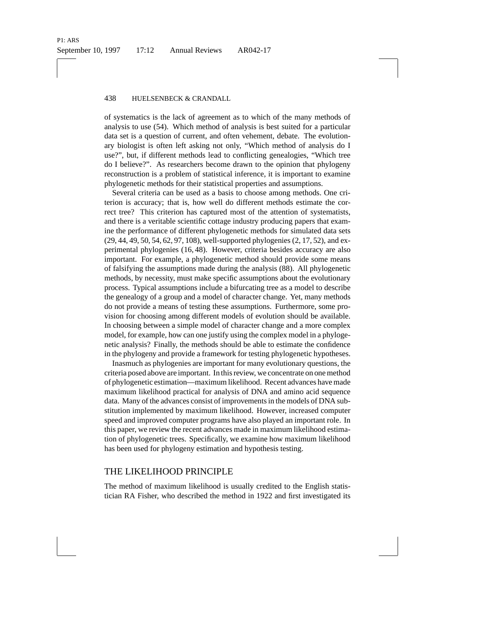of systematics is the lack of agreement as to which of the many methods of analysis to use (54). Which method of analysis is best suited for a particular data set is a question of current, and often vehement, debate. The evolutionary biologist is often left asking not only, "Which method of analysis do I use?", but, if different methods lead to conflicting genealogies, "Which tree do I believe?". As researchers become drawn to the opinion that phylogeny reconstruction is a problem of statistical inference, it is important to examine phylogenetic methods for their statistical properties and assumptions.

Several criteria can be used as a basis to choose among methods. One criterion is accuracy; that is, how well do different methods estimate the correct tree? This criterion has captured most of the attention of systematists, and there is a veritable scientific cottage industry producing papers that examine the performance of different phylogenetic methods for simulated data sets (29, 44, 49, 50, 54, 62, 97, 108), well-supported phylogenies (2, 17, 52), and experimental phylogenies (16, 48). However, criteria besides accuracy are also important. For example, a phylogenetic method should provide some means of falsifying the assumptions made during the analysis (88). All phylogenetic methods, by necessity, must make specific assumptions about the evolutionary process. Typical assumptions include a bifurcating tree as a model to describe the genealogy of a group and a model of character change. Yet, many methods do not provide a means of testing these assumptions. Furthermore, some provision for choosing among different models of evolution should be available. In choosing between a simple model of character change and a more complex model, for example, how can one justify using the complex model in a phylogenetic analysis? Finally, the methods should be able to estimate the confidence in the phylogeny and provide a framework for testing phylogenetic hypotheses.

Inasmuch as phylogenies are important for many evolutionary questions, the criteria posed above are important. In this review, we concentrate on one method of phylogenetic estimation—maximum likelihood. Recent advances have made maximum likelihood practical for analysis of DNA and amino acid sequence data. Many of the advances consist of improvements in the models of DNA substitution implemented by maximum likelihood. However, increased computer speed and improved computer programs have also played an important role. In this paper, we review the recent advances made in maximum likelihood estimation of phylogenetic trees. Specifically, we examine how maximum likelihood has been used for phylogeny estimation and hypothesis testing.

## THE LIKELIHOOD PRINCIPLE

The method of maximum likelihood is usually credited to the English statistician RA Fisher, who described the method in 1922 and first investigated its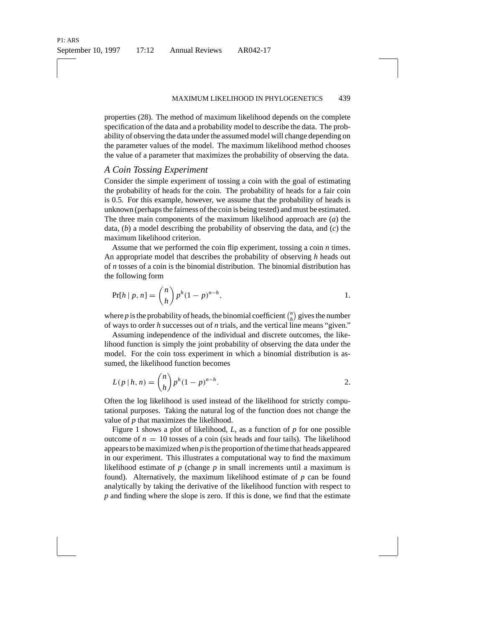properties (28). The method of maximum likelihood depends on the complete specification of the data and a probability model to describe the data. The probability of observing the data under the assumed model will change depending on the parameter values of the model. The maximum likelihood method chooses the value of a parameter that maximizes the probability of observing the data.

## *A Coin Tossing Experiment*

Consider the simple experiment of tossing a coin with the goal of estimating the probability of heads for the coin. The probability of heads for a fair coin is 0.5. For this example, however, we assume that the probability of heads is unknown (perhaps the fairness of the coin is being tested) and must be estimated. The three main components of the maximum likelihood approach are (*a*) the data, (*b*) a model describing the probability of observing the data, and (*c*) the maximum likelihood criterion.

Assume that we performed the coin flip experiment, tossing a coin *n* times. An appropriate model that describes the probability of observing *h* heads out of *n* tosses of a coin is the binomial distribution. The binomial distribution has the following form

$$
\Pr[h \mid p, n] = \binom{n}{h} p^h (1-p)^{n-h}, \tag{1.1}
$$

where *p* is the probability of heads, the binomial coefficient  $\binom{n}{h}$  gives the number of ways to order *h* successes out of *n* trials, and the vertical line means "given."

Assuming independence of the individual and discrete outcomes, the likelihood function is simply the joint probability of observing the data under the model. For the coin toss experiment in which a binomial distribution is assumed, the likelihood function becomes

$$
L(p | h, n) = {n \choose h} p^{h} (1-p)^{n-h}.
$$

Often the log likelihood is used instead of the likelihood for strictly computational purposes. Taking the natural log of the function does not change the value of *p* that maximizes the likelihood.

Figure 1 shows a plot of likelihood, *L*, as a function of *p* for one possible outcome of  $n = 10$  tosses of a coin (six heads and four tails). The likelihood appears to be maximized when *p* is the proportion of the time that heads appeared in our experiment. This illustrates a computational way to find the maximum likelihood estimate of *p* (change *p* in small increments until a maximum is found). Alternatively, the maximum likelihood estimate of *p* can be found analytically by taking the derivative of the likelihood function with respect to *p* and finding where the slope is zero. If this is done, we find that the estimate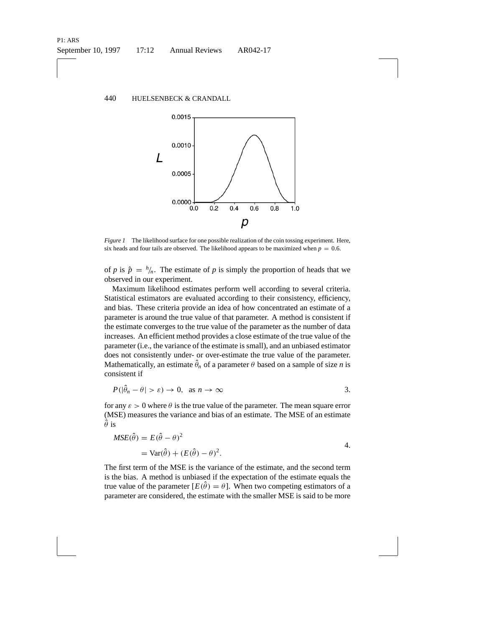

*Figure 1* The likelihood surface for one possible realization of the coin tossing experiment. Here, six heads and four tails are observed. The likelihood appears to be maximized when  $p = 0.6$ .

of *p* is  $\hat{p} = h/n$ . The estimate of *p* is simply the proportion of heads that we observed in our experiment.

Maximum likelihood estimates perform well according to several criteria. Statistical estimators are evaluated according to their consistency, efficiency, and bias. These criteria provide an idea of how concentrated an estimate of a parameter is around the true value of that parameter. A method is consistent if the estimate converges to the true value of the parameter as the number of data increases. An efficient method provides a close estimate of the true value of the parameter (i.e., the variance of the estimate is small), and an unbiased estimator does not consistently under- or over-estimate the true value of the parameter. Mathematically, an estimate  $\hat{\theta}_n$  of a parameter  $\theta$  based on a sample of size *n* is consistent if

$$
P(|\hat{\theta}_n - \theta| > \varepsilon) \to 0, \text{ as } n \to \infty
$$
3.

for any  $\varepsilon > 0$  where  $\theta$  is the true value of the parameter. The mean square error (MSE) measures the variance and bias of an estimate. The MSE of an estimate  $\hat{\theta}$  is

$$
MSE(\hat{\theta}) = E(\hat{\theta} - \theta)^2
$$
  
= Var(\hat{\theta}) + (E(\hat{\theta}) - \theta)^2.

The first term of the MSE is the variance of the estimate, and the second term is the bias. A method is unbiased if the expectation of the estimate equals the true value of the parameter  $[E(\hat{\theta}) = \theta]$ . When two competing estimators of a parameter are considered, the estimate with the smaller MSE is said to be more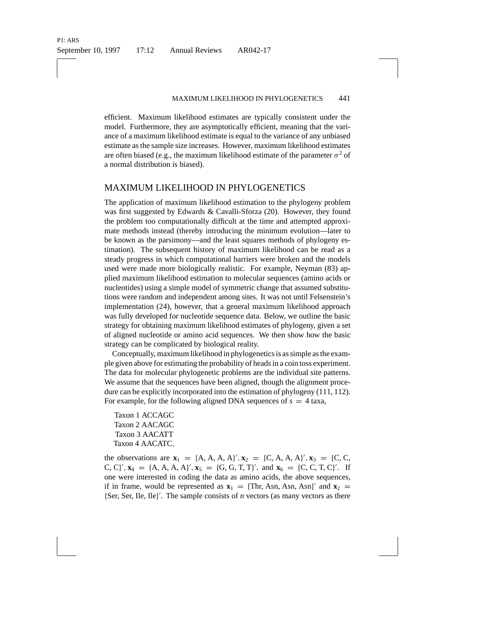efficient. Maximum likelihood estimates are typically consistent under the model. Furthermore, they are asymptotically efficient, meaning that the variance of a maximum likelihood estimate is equal to the variance of any unbiased estimate as the sample size increases. However, maximum likelihood estimates are often biased (e.g., the maximum likelihood estimate of the parameter  $\sigma^2$  of a normal distribution is biased).

## MAXIMUM LIKELIHOOD IN PHYLOGENETICS

The application of maximum likelihood estimation to the phylogeny problem was first suggested by Edwards & Cavalli-Sforza (20). However, they found the problem too computationally difficult at the time and attempted approximate methods instead (thereby introducing the minimum evolution—later to be known as the parsimony—and the least squares methods of phylogeny estimation). The subsequent history of maximum likelihood can be read as a steady progress in which computational barriers were broken and the models used were made more biologically realistic. For example, Neyman (83) applied maximum likelihood estimation to molecular sequences (amino acids or nucleotides) using a simple model of symmetric change that assumed substitutions were random and independent among sites. It was not until Felsenstein's implementation (24), however, that a general maximum likelihood approach was fully developed for nucleotide sequence data. Below, we outline the basic strategy for obtaining maximum likelihood estimates of phylogeny, given a set of aligned nucleotide or amino acid sequences. We then show how the basic strategy can be complicated by biological reality.

Conceptually, maximum likelihood in phylogenetics is as simple as the example given above for estimating the probability of heads in a coin toss experiment. The data for molecular phylogenetic problems are the individual site patterns. We assume that the sequences have been aligned, though the alignment procedure can be explicitly incorporated into the estimation of phylogeny (111, 112). For example, for the following aligned DNA sequences of  $s = 4$  taxa,

Taxon 1 ACCAGC Taxon 2 AACAGC Taxon 3 AACATT Taxon 4 AACATC,

the observations are  $\mathbf{x}_1 = \{A, A, A, A\}', \mathbf{x}_2 = \{C, A, A, A\}', \mathbf{x}_3 = \{C, C, A, A, B\}$ C, C}',  $\mathbf{x}_4 = \{A, A, A, A\}'$ ,  $\mathbf{x}_5 = \{G, G, T, T\}'$ , and  $\mathbf{x}_6 = \{C, C, T, C\}'$ . If one were interested in coding the data as amino acids, the above sequences, if in frame, would be represented as  $\mathbf{x}_1 = \{\text{Thr, Asn, Asn, Asn}\}\$  and  $\mathbf{x}_2 =$ {Ser, Ser, Ile, Ile}'. The sample consists of *n* vectors (as many vectors as there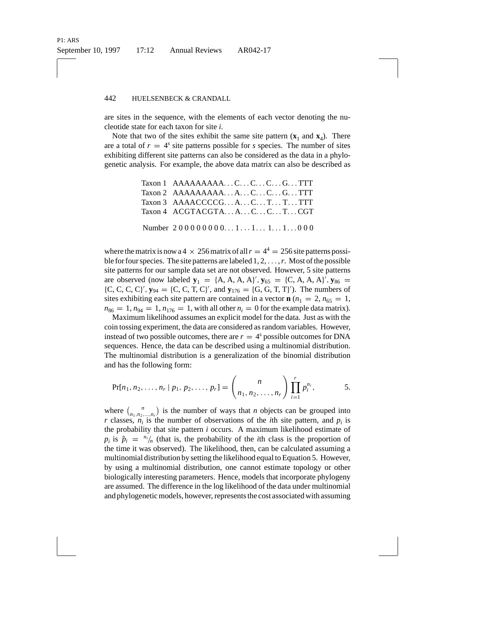are sites in the sequence, with the elements of each vector denoting the nucleotide state for each taxon for site *i*.

Note that two of the sites exhibit the same site pattern  $(\mathbf{x}_1 \text{ and } \mathbf{x}_4)$ . There are a total of  $r = 4<sup>s</sup>$  site patterns possible for *s* species. The number of sites exhibiting different site patterns can also be considered as the data in a phylogenetic analysis. For example, the above data matrix can also be described as

| Taxon 1 AAAAAAAAAACCCGTTT       |
|---------------------------------|
| Taxon 2 $AAAAAAA$ , $ACCCG$ TTT |
| Taxon 3 AAAACCCCGACTTTTT        |
| Taxon 4 ACGTACGTAACCTCGT        |
|                                 |
| Number $2000000001111000$       |

where the matrix is now a 4  $\times$  256 matrix of all  $r = 4^4 = 256$  site patterns possible for four species. The site patterns are labeled 1, 2, ... ,*r*. Most of the possible site patterns for our sample data set are not observed. However, 5 site patterns are observed (now labeled  $y_1 = {A, A, A}, A'$ ,  $y_{65} = {C, A, A, A}'$ ,  $y_{86} =$  ${C, C, C, C}$ ,  ${y_{94}} = {C, C, T, C}$ , and  ${y_{176}} = {G, G, T, T}$ . The numbers of sites exhibiting each site pattern are contained in a vector **n** ( $n_1 = 2$ ,  $n_{65} = 1$ ,  $n_{86} = 1, n_{94} = 1, n_{176} = 1$ , with all other  $n_i = 0$  for the example data matrix).

Maximum likelihood assumes an explicit model for the data. Just as with the coin tossing experiment, the data are considered as random variables. However, instead of two possible outcomes, there are  $r = 4<sup>s</sup>$  possible outcomes for DNA sequences. Hence, the data can be described using a multinomial distribution. The multinomial distribution is a generalization of the binomial distribution and has the following form:

$$
Pr[n_1, n_2, \ldots, n_r | p_1, p_2, \ldots, p_r] = {n \choose n_1, n_2, \ldots, n_r} \prod_{i=1}^r p_i^{n_i},
$$
 5.

where  $\binom{n}{n_1, n_2, ..., n_r}$  is the number of ways that *n* objects can be grouped into *r* classes,  $n_i$  is the number of observations of the *i*th site pattern, and  $p_i$  is the probability that site pattern *i* occurs. A maximum likelihood estimate of  $p_i$  is  $\hat{p}_i = \binom{n_i}{n}$  (that is, the probability of the *i*th class is the proportion of the time it was observed). The likelihood, then, can be calculated assuming a multinomial distribution by setting the likelihood equal to Equation 5. However, by using a multinomial distribution, one cannot estimate topology or other biologically interesting parameters. Hence, models that incorporate phylogeny are assumed. The difference in the log likelihood of the data under multinomial and phylogenetic models, however, represents the cost associated with assuming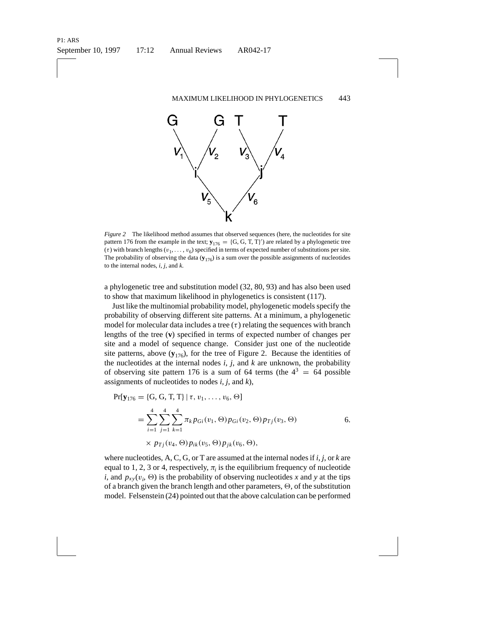

*Figure 2* The likelihood method assumes that observed sequences (here, the nucleotides for site pattern 176 from the example in the text;  $y_{176} = \{G, G, T, T\}'$  are related by a phylogenetic tree (τ) with branch lengths  $(v_1, \ldots, v_6)$  specified in terms of expected number of substitutions per site. The probability of observing the data (**y**176) is a sum over the possible assignments of nucleotides to the internal nodes, *i*, *j*, and *k*.

a phylogenetic tree and substitution model (32, 80, 93) and has also been used to show that maximum likelihood in phylogenetics is consistent (117).

Just like the multinomial probability model, phylogenetic models specify the probability of observing different site patterns. At a minimum, a phylogenetic model for molecular data includes a tree  $(\tau)$  relating the sequences with branch lengths of the tree (**v**) specified in terms of expected number of changes per site and a model of sequence change. Consider just one of the nucleotide site patterns, above  $(y_{176})$ , for the tree of Figure 2. Because the identities of the nucleotides at the internal nodes  $i$ ,  $j$ , and  $k$  are unknown, the probability of observing site pattern 176 is a sum of 64 terms (the  $4^3 = 64$  possible assignments of nucleotides to nodes *i*, *j*, and *k*),

$$
Pr[y_{176} = \{G, G, T, T\} | \tau, v_1, ..., v_6, \Theta]
$$
  
= 
$$
\sum_{i=1}^{4} \sum_{j=1}^{4} \sum_{k=1}^{4} \pi_k p_{Gi}(v_1, \Theta) p_{Gi}(v_2, \Theta) p_{Tj}(v_3, \Theta)
$$
  

$$
\times p_{Tj}(v_4, \Theta) p_{ik}(v_5, \Theta) p_{jk}(v_6, \Theta),
$$

where nucleotides, A, C, G, or T are assumed at the internal nodes if *i*, *j*, or *k* are equal to 1, 2, 3 or 4, respectively,  $\pi$ <sub>i</sub> is the equilibrium frequency of nucleotide *i*, and  $p_{xy}(v_i, \Theta)$  is the probability of observing nucleotides *x* and *y* at the tips of a branch given the branch length and other parameters,  $\Theta$ , of the substitution model. Felsenstein (24) pointed out that the above calculation can be performed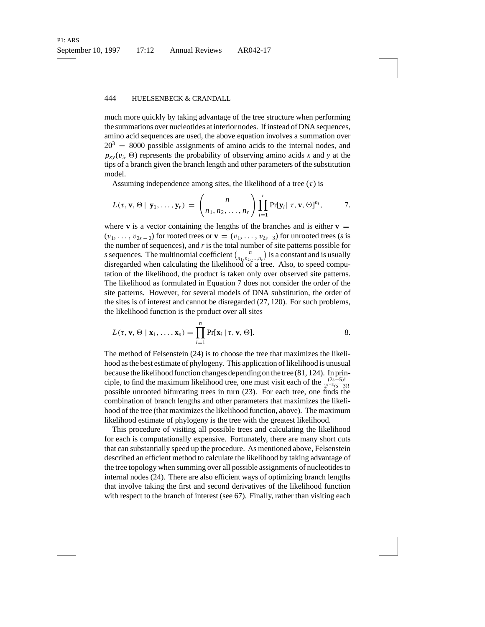much more quickly by taking advantage of the tree structure when performing the summations over nucleotides at interior nodes. If instead of DNA sequences, amino acid sequences are used, the above equation involves a summation over  $20^3 = 8000$  possible assignments of amino acids to the internal nodes, and  $p_{xy}(v_i, \Theta)$  represents the probability of observing amino acids *x* and *y* at the tips of a branch given the branch length and other parameters of the substitution model.

Assuming independence among sites, the likelihood of a tree  $(\tau)$  is

$$
L(\tau, \mathbf{v}, \Theta | \mathbf{y}_1, \ldots, \mathbf{y}_r) = {n \choose n_1, n_2, \ldots, n_r} \prod_{i=1}^r Pr[\mathbf{y}_i | \tau, \mathbf{v}, \Theta]^{n_i}, \qquad 7.
$$

where **v** is a vector containing the lengths of the branches and is either  $\mathbf{v} =$  $(v_1, \ldots, v_{2s-2})$  for rooted trees or  $\mathbf{v} = (v_1, \ldots, v_{2s-3})$  for unrooted trees (*s* is the number of sequences), and *r* is the total number of site patterns possible for *s* sequences. The multinomial coefficient  $\binom{n}{n_1, n_2, ..., n_r}$  is a constant and is usually disregarded when calculating the likelihood of a tree. Also, to speed computation of the likelihood, the product is taken only over observed site patterns. The likelihood as formulated in Equation 7 does not consider the order of the site patterns. However, for several models of DNA substitution, the order of the sites is of interest and cannot be disregarded (27, 120). For such problems, the likelihood function is the product over all sites

$$
L(\tau, \mathbf{v}, \Theta \mid \mathbf{x}_1, \ldots, \mathbf{x}_n) = \prod_{i=1}^n \Pr[\mathbf{x}_i \mid \tau, \mathbf{v}, \Theta].
$$
8.

The method of Felsenstein (24) is to choose the tree that maximizes the likelihood as the best estimate of phylogeny. This application of likelihood is unusual because the likelihood function changes depending on the tree (81, 124). In principle, to find the maximum likelihood tree, one must visit each of the  $\frac{(2s-5)!}{2^{s-3}(s-3)!}$ possible unrooted bifurcating trees in turn (23). For each tree, one finds the combination of branch lengths and other parameters that maximizes the likelihood of the tree (that maximizes the likelihood function, above). The maximum likelihood estimate of phylogeny is the tree with the greatest likelihood.

This procedure of visiting all possible trees and calculating the likelihood for each is computationally expensive. Fortunately, there are many short cuts that can substantially speed up the procedure. As mentioned above, Felsenstein described an efficient method to calculate the likelihood by taking advantage of the tree topology when summing over all possible assignments of nucleotides to internal nodes (24). There are also efficient ways of optimizing branch lengths that involve taking the first and second derivatives of the likelihood function with respect to the branch of interest (see 67). Finally, rather than visiting each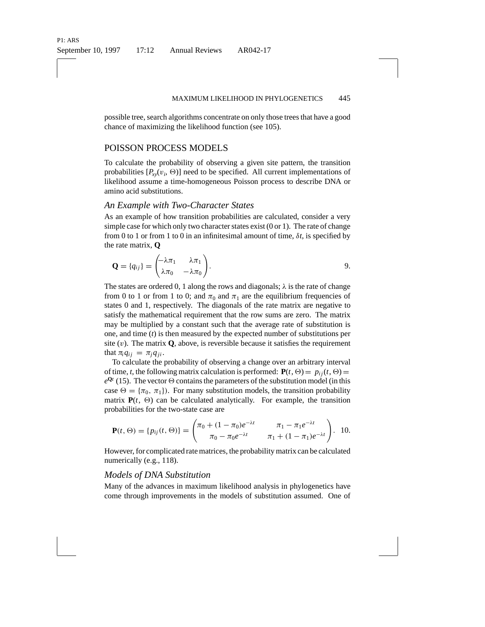possible tree, search algorithms concentrate on only those trees that have a good chance of maximizing the likelihood function (see 105).

#### POISSON PROCESS MODELS

To calculate the probability of observing a given site pattern, the transition probabilities  $[P_{xy}(v_i, \Theta)]$  need to be specified. All current implementations of likelihood assume a time-homogeneous Poisson process to describe DNA or amino acid substitutions.

#### *An Example with Two-Character States*

As an example of how transition probabilities are calculated, consider a very simple case for which only two character states exist  $(0 \text{ or } 1)$ . The rate of change from 0 to 1 or from 1 to 0 in an infinitesimal amount of time, δ*t*, is specified by the rate matrix, **Q**

$$
\mathbf{Q} = \{q_{ij}\} = \begin{pmatrix} -\lambda \pi_1 & \lambda \pi_1 \\ \lambda \pi_0 & -\lambda \pi_0 \end{pmatrix}.
$$

The states are ordered 0, 1 along the rows and diagonals;  $\lambda$  is the rate of change from 0 to 1 or from 1 to 0; and  $\pi_0$  and  $\pi_1$  are the equilibrium frequencies of states 0 and 1, respectively. The diagonals of the rate matrix are negative to satisfy the mathematical requirement that the row sums are zero. The matrix may be multiplied by a constant such that the average rate of substitution is one, and time (*t*) is then measured by the expected number of substitutions per site  $(v)$ . The matrix  $Q$ , above, is reversible because it satisfies the requirement that  $\pi_i q_{ij} = \pi_i q_{ji}$ .

To calculate the probability of observing a change over an arbitrary interval of time, *t*, the following matrix calculation is performed:  $P(t, \Theta) = p_{ij}(t, \Theta) =$  $e^{Qt}$  (15). The vector  $\Theta$  contains the parameters of the substitution model (in this case  $\Theta = {\pi_0, \pi_1}$ . For many substitution models, the transition probability matrix  $P(t, \Theta)$  can be calculated analytically. For example, the transition probabilities for the two-state case are

$$
\mathbf{P}(t, \Theta) = \{p_{ij}(t, \Theta)\} = \begin{pmatrix} \pi_0 + (1 - \pi_0)e^{-\lambda t} & \pi_1 - \pi_1 e^{-\lambda t} \\ \pi_0 - \pi_0 e^{-\lambda t} & \pi_1 + (1 - \pi_1)e^{-\lambda t} \end{pmatrix}.
$$
 10.

However, for complicated rate matrices, the probability matrix can be calculated numerically (e.g., 118).

## *Models of DNA Substitution*

Many of the advances in maximum likelihood analysis in phylogenetics have come through improvements in the models of substitution assumed. One of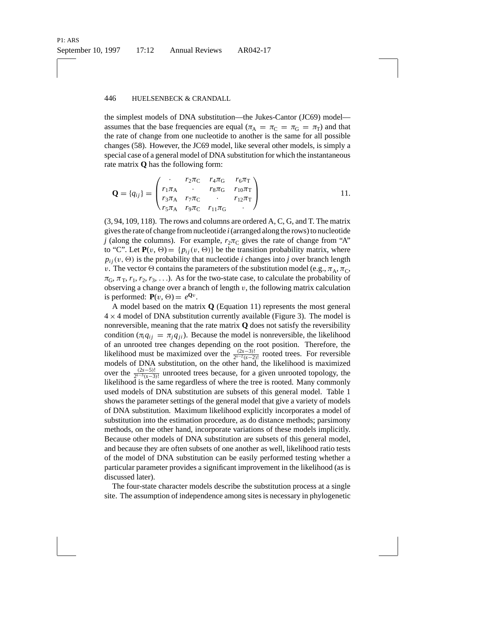the simplest models of DNA substitution—the Jukes-Cantor (JC69) model assumes that the base frequencies are equal ( $\pi_A = \pi_C = \pi_G = \pi_T$ ) and that the rate of change from one nucleotide to another is the same for all possible changes (58). However, the JC69 model, like several other models, is simply a special case of a general model of DNA substitution for which the instantaneous rate matrix **Q** has the following form:

$$
\mathbf{Q} = \{q_{ij}\} = \begin{pmatrix} r_2 \pi_C & r_4 \pi_G & r_6 \pi_T \\ r_1 \pi_A & r_8 \pi_G & r_{10} \pi_T \\ r_3 \pi_A & r_7 \pi_C & r_{12} \pi_T \\ r_5 \pi_A & r_9 \pi_C & r_{11} \pi_G \end{pmatrix}
$$
 11.

(3, 94, 109, 118). The rows and columns are ordered A, C, G, and T. The matrix gives the rate of change from nucleotide *i*(arranged along the rows) to nucleotide *j* (along the columns). For example,  $r_2\pi$ <sub>C</sub> gives the rate of change from "A" to "C". Let  $P(v, \Theta) = \{p_{ij}(v, \Theta)\}\$  be the transition probability matrix, where  $p_{ij}(v, \Theta)$  is the probability that nucleotide *i* changes into *j* over branch length v. The vector  $\Theta$  contains the parameters of the substitution model (e.g.,  $\pi_A$ ,  $\pi_C$ ,  $\pi_G$ ,  $\pi_T$ ,  $r_1$ ,  $r_2$ ,  $r_3$ , ...). As for the two-state case, to calculate the probability of observing a change over a branch of length  $v$ , the following matrix calculation is performed:  $P(v, \Theta) = e^{Qv}$ .

A model based on the matrix **Q** (Equation 11) represents the most general  $4 \times 4$  model of DNA substitution currently available (Figure 3). The model is nonreversible, meaning that the rate matrix **Q** does not satisfy the reversibility condition ( $\pi_i q_{ij} = \pi_j q_{ji}$ ). Because the model is nonreversible, the likelihood of an unrooted tree changes depending on the root position. Therefore, the likelihood must be maximized over the  $\frac{(2s-3)!}{2^{s-2}(s-2)!}$  rooted trees. For reversible models of DNA substitution, on the other hand, the likelihood is maximized over the  $\frac{(2s-5)!}{2^{s-3}(s-3)!}$  unrooted trees because, for a given unrooted topology, the likelihood is the same regardless of where the tree is rooted. Many commonly used models of DNA substitution are subsets of this general model. Table 1 shows the parameter settings of the general model that give a variety of models of DNA substitution. Maximum likelihood explicitly incorporates a model of substitution into the estimation procedure, as do distance methods; parsimony methods, on the other hand, incorporate variations of these models implicitly. Because other models of DNA substitution are subsets of this general model, and because they are often subsets of one another as well, likelihood ratio tests of the model of DNA substitution can be easily performed testing whether a particular parameter provides a significant improvement in the likelihood (as is discussed later).

The four-state character models describe the substitution process at a single site. The assumption of independence among sites is necessary in phylogenetic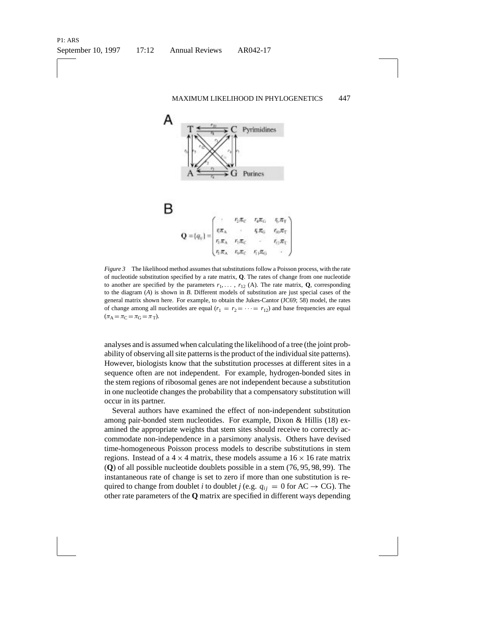

|                                                                                                                                                                                         | -ame | <b>SAVALLE</b>               | 0.01           |
|-----------------------------------------------------------------------------------------------------------------------------------------------------------------------------------------|------|------------------------------|----------------|
| $\mathbf{Q=}\left\{ q_{y}\right\} =\left \begin{matrix}\tau\pi_{\mathrm{A}}&\cdot\\\tau_{\mathrm{I}}\pi_{\mathrm{A}}&\cdot\\\tau_{\mathrm{I}}\pi_{\mathrm{C}}&\cdot\end{matrix}\right.$ |      | 星尾山                          | $r_{10} \pi_T$ |
|                                                                                                                                                                                         |      |                              | $r_{12}R_T$    |
|                                                                                                                                                                                         |      | $r_1\pi_A-r_0\pi_C-r_1\pi_G$ | ٠              |

*Figure 3* The likelihood method assumes that substitutions follow a Poisson process, with the rate of nucleotide substitution specified by a rate matrix, **Q**. The rates of change from one nucleotide to another are specified by the parameters  $r_1, \ldots, r_{12}$  (A). The rate matrix, **Q**, corresponding to the diagram (*A*) is shown in *B*. Different models of substitution are just special cases of the general matrix shown here. For example, to obtain the Jukes-Cantor (JC69; 58) model, the rates of change among all nucleotides are equal  $(r_1 = r_2 = \cdots = r_{12})$  and base frequencies are equal  $(\pi_{\rm A} = \pi_{\rm C} = \pi_{\rm G} = \pi_{\rm T}).$ 

analyses and is assumed when calculating the likelihood of a tree (the joint probability of observing all site patterns is the product of the individual site patterns). However, biologists know that the substitution processes at different sites in a sequence often are not independent. For example, hydrogen-bonded sites in the stem regions of ribosomal genes are not independent because a substitution in one nucleotide changes the probability that a compensatory substitution will occur in its partner.

Several authors have examined the effect of non-independent substitution among pair-bonded stem nucleotides. For example, Dixon & Hillis (18) examined the appropriate weights that stem sites should receive to correctly accommodate non-independence in a parsimony analysis. Others have devised time-homogeneous Poisson process models to describe substitutions in stem regions. Instead of a  $4 \times 4$  matrix, these models assume a  $16 \times 16$  rate matrix (**Q**) of all possible nucleotide doublets possible in a stem (76, 95, 98, 99). The instantaneous rate of change is set to zero if more than one substitution is required to change from doublet *i* to doublet *j* (e.g.  $q_{ij} = 0$  for AC  $\rightarrow$  CG). The other rate parameters of the **Q** matrix are specified in different ways depending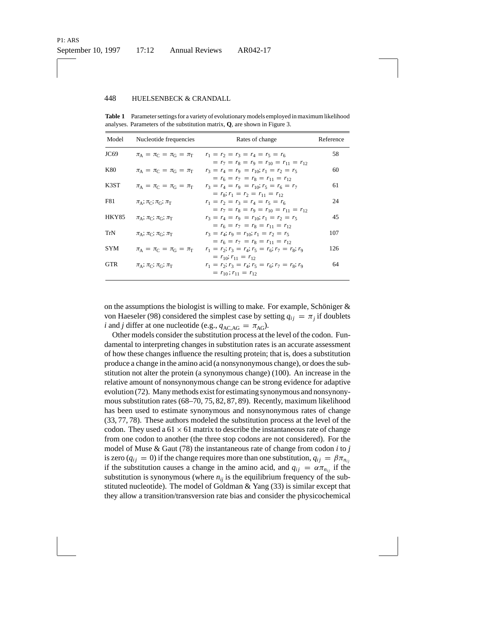| Model        | Nucleotide frequencies                                                            | Rates of change                                                                                                             | Reference |
|--------------|-----------------------------------------------------------------------------------|-----------------------------------------------------------------------------------------------------------------------------|-----------|
| JC69         | $\pi_{A} = \pi_{C} = \pi_{G} = \pi_{T}$                                           | $r_1 = r_2 = r_3 = r_4 = r_5 = r_6$                                                                                         | 58        |
| K80          | $\pi_{A} = \pi_{C} = \pi_{G} = \pi_{T}$                                           | $r_7 = r_8 = r_9 = r_{10} = r_{11} = r_{12}$<br>$r_3 = r_4 = r_9 = r_{10}; r_1 = r_2 = r_5$                                 | 60        |
| K3ST         | $\pi_{A} = \pi_{C} = \pi_{G} = \pi_{T}$                                           | $r_6 = r_7 = r_8 = r_{11} = r_{12}$<br>$r_3 = r_4 = r_9 = r_{10}; r_5 = r_6 = r_7$                                          | 61        |
| F81          | $\pi_{\rm A}; \pi_{\rm C}; \pi_{\rm G}; \pi_{\rm T}$                              | $r_1 = r_8$ ; $r_1 = r_2 = r_{11} = r_{12}$<br>$r_1 = r_2 = r_3 = r_4 = r_5 = r_6$                                          | 24        |
| <b>HKY85</b> | $\pi_{\rm A}$ ; $\pi_{\rm C}$ ; $\pi_{\rm G}$ ; $\pi_{\rm T}$                     | $r_7 = r_8 = r_9 = r_{10} = r_{11} = r_{12}$<br>$r_3 = r_4 = r_9 = r_{10}; r_1 = r_2 = r_5$                                 | 45        |
| TrN          | $\pi_{\mathsf{A}}$ ; $\pi_{\mathsf{C}}$ ; $\pi_{\mathsf{G}}$ ; $\pi_{\mathsf{T}}$ | $r_6 = r_7 = r_8 = r_{11} = r_{12}$<br>$r_3 = r_4$ ; $r_9 = r_{10}$ ; $r_1 = r_2 = r_5$                                     | 107       |
| <b>SYM</b>   | $\pi_{A} = \pi_{C} = \pi_{G} = \pi_{T}$                                           | $r_6 = r_7 = r_8 = r_{11} = r_{12}$<br>$r_1 = r_2$ ; $r_3 = r_4$ ; $r_5 = r_6$ ; $r_7 = r_8$ ; $r_9$                        | 126       |
| <b>GTR</b>   | $\pi_{\mathsf{A}}$ ; $\pi_{\mathsf{C}}$ ; $\pi_{\mathsf{G}}$ ; $\pi_{\mathsf{T}}$ | $= r_{10}; r_{11} = r_{12}$<br>$r_1 = r_2$ ; $r_3 = r_4$ ; $r_5 = r_6$ ; $r_7 = r_8$ ; $r_9$<br>$= r_{10}; r_{11} = r_{12}$ | 64        |

**Table 1** Parameter settings for a variety of evolutionary models employed in maximum likelihood analyses. Parameters of the substitution matrix, **Q**, are shown in Figure 3.

on the assumptions the biologist is willing to make. For example, Schöniger  $\&$ von Haeseler (98) considered the simplest case by setting  $q_{ij} = \pi_j$  if doublets *i* and *j* differ at one nucleotide (e.g.,  $q_{AC,AG} = \pi_{AG}$ ).

Other models consider the substitution process at the level of the codon. Fundamental to interpreting changes in substitution rates is an accurate assessment of how these changes influence the resulting protein; that is, does a substitution produce a change in the amino acid (a nonsynonymous change), or does the substitution not alter the protein (a synonymous change) (100). An increase in the relative amount of nonsynonymous change can be strong evidence for adaptive evolution (72). Many methods exist for estimating synonymous and nonsynonymous substitution rates (68–70, 75, 82, 87, 89). Recently, maximum likelihood has been used to estimate synonymous and nonsynonymous rates of change (33, 77, 78). These authors modeled the substitution process at the level of the codon. They used a  $61 \times 61$  matrix to describe the instantaneous rate of change from one codon to another (the three stop codons are not considered). For the model of Muse & Gaut (78) the instantaneous rate of change from codon *i* to *j* is zero ( $q_{ij} = 0$ ) if the change requires more than one substitution,  $q_{ij} = \beta \pi_{n_{ij}}$ if the substitution causes a change in the amino acid, and  $q_{ij} = \alpha \pi_{n_{ij}}$  if the substitution is synonymous (where  $n_{ij}$  is the equilibrium frequency of the substituted nucleotide). The model of Goldman & Yang (33) is similar except that they allow a transition/transversion rate bias and consider the physicochemical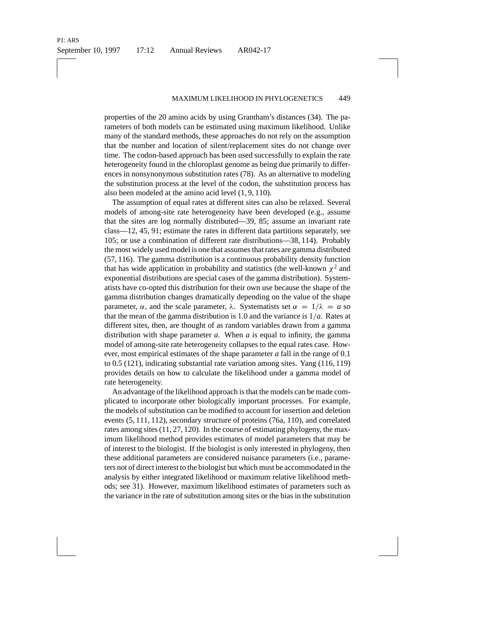properties of the 20 amino acids by using Grantham's distances (34). The parameters of both models can be estimated using maximum likelihood. Unlike many of the standard methods, these approaches do not rely on the assumption that the number and location of silent/replacement sites do not change over time. The codon-based approach has been used successfully to explain the rate heterogeneity found in the chloroplast genome as being due primarily to differences in nonsynonymous substitution rates (78). As an alternative to modeling the substitution process at the level of the codon, the substitution process has also been modeled at the amino acid level (1, 9, 110).

The assumption of equal rates at different sites can also be relaxed. Several models of among-site rate heterogeneity have been developed (e.g., assume that the sites are log normally distributed—39, 85; assume an invariant rate class—12, 45, 91; estimate the rates in different data partitions separately, see 105; or use a combination of different rate distributions—38, 114). Probably the most widely used model is one that assumes that rates are gamma distributed (57, 116). The gamma distribution is a continuous probability density function that has wide application in probability and statistics (the well-known  $\chi^2$  and exponential distributions are special cases of the gamma distribution). Systematists have co-opted this distribution for their own use because the shape of the gamma distribution changes dramatically depending on the value of the shape parameter,  $\alpha$ , and the scale parameter,  $\lambda$ . Systematists set  $\alpha = 1/\lambda = a$  so that the mean of the gamma distribution is 1.0 and the variance is  $1/a$ . Rates at different sites, then, are thought of as random variables drawn from a gamma distribution with shape parameter *a*. When *a* is equal to infinity, the gamma model of among-site rate heterogeneity collapses to the equal rates case. However, most empirical estimates of the shape parameter *a* fall in the range of 0.1 to 0.5 (121), indicating substantial rate variation among sites. Yang (116, 119) provides details on how to calculate the likelihood under a gamma model of rate heterogeneity.

An advantage of the likelihood approach is that the models can be made complicated to incorporate other biologically important processes. For example, the models of substitution can be modified to account for insertion and deletion events (5, 111, 112), secondary structure of proteins (76a, 110), and correlated rates among sites (11, 27, 120). In the course of estimating phylogeny, the maximum likelihood method provides estimates of model parameters that may be of interest to the biologist. If the biologist is only interested in phylogeny, then these additional parameters are considered nuisance parameters (i.e., parameters not of direct interest to the biologist but which must be accommodated in the analysis by either integrated likelihood or maximum relative likelihood methods; see 31). However, maximum likelihood estimates of parameters such as the variance in the rate of substitution among sites or the bias in the substitution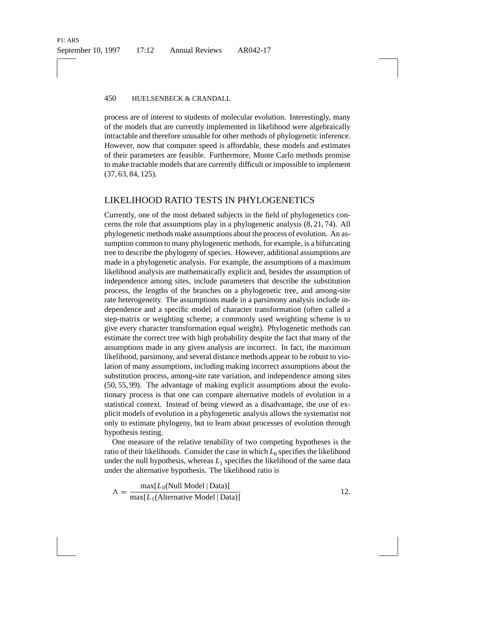process are of interest to students of molecular evolution. Interestingly, many of the models that are currently implemented in likelihood were algebraically intractable and therefore unusable for other methods of phylogenetic inference. However, now that computer speed is affordable, these models and estimates of their parameters are feasible. Furthermore, Monte Carlo methods promise to make tractable models that are currently difficult or impossible to implement (37, 63, 84, 125).

# LIKELIHOOD RATIO TESTS IN PHYLOGENETICS

Currently, one of the most debated subjects in the field of phylogenetics concerns the role that assumptions play in a phylogenetic analysis (8, 21, 74). All phylogenetic methods make assumptions about the process of evolution. An assumption common to many phylogenetic methods, for example, is a bifurcating tree to describe the phylogeny of species. However, additional assumptions are made in a phylogenetic analysis. For example, the assumptions of a maximum likelihood analysis are mathematically explicit and, besides the assumption of independence among sites, include parameters that describe the substitution process, the lengths of the branches on a phylogenetic tree, and among-site rate heterogeneity. The assumptions made in a parsimony analysis include independence and a specific model of character transformation (often called a step-matrix or weighting scheme; a commonly used weighting scheme is to give every character transformation equal weight). Phylogenetic methods can estimate the correct tree with high probability despite the fact that many of the assumptions made in any given analysis are incorrect. In fact, the maximum likelihood, parsimony, and several distance methods appear to be robust to violation of many assumptions, including making incorrect assumptions about the substitution process, among-site rate variation, and independence among sites (50, 55, 99). The advantage of making explicit assumptions about the evolutionary process is that one can compare alternative models of evolution in a statistical context. Instead of being viewed as a disadvantage, the use of explicit models of evolution in a phylogenetic analysis allows the systematist not only to estimate phylogeny, but to learn about processes of evolution through hypothesis testing.

One measure of the relative tenability of two competing hypotheses is the ratio of their likelihoods. Consider the case in which  $L_0$  specifies the likelihood under the null hypothesis, whereas  $L_1$  specifies the likelihood of the same data under the alternative hypothesis. The likelihood ratio is

$$
\Lambda = \frac{\max[L_0(\text{Null Model} \mid \text{Data})]}{\max[L_1(\text{Alternative Model} \mid \text{Data})]}
$$
 12.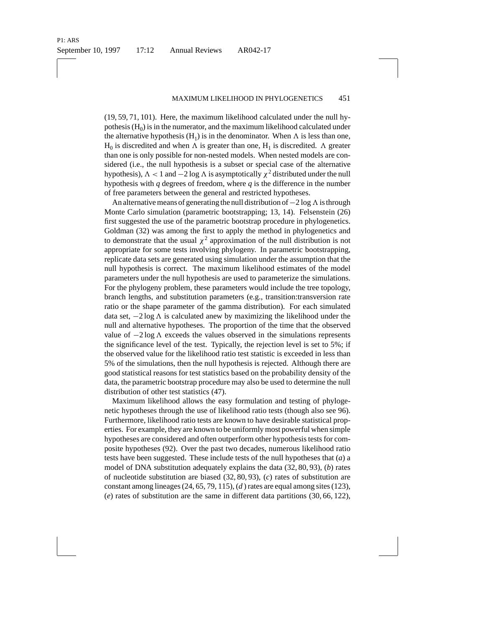(19, 59, 71, 101). Here, the maximum likelihood calculated under the null hypothesis  $(H_0)$  is in the numerator, and the maximum likelihood calculated under the alternative hypothesis (H<sub>1</sub>) is in the denominator. When  $\Lambda$  is less than one,  $H_0$  is discredited and when  $\Lambda$  is greater than one,  $H_1$  is discredited.  $\Lambda$  greater than one is only possible for non-nested models. When nested models are considered (i.e., the null hypothesis is a subset or special case of the alternative hypothesis),  $\Lambda < 1$  and  $-2 \log \Lambda$  is asymptotically  $\chi^2$  distributed under the null hypothesis with *q* degrees of freedom, where *q* is the difference in the number of free parameters between the general and restricted hypotheses.

An alternative means of generating the null distribution of  $-2 \log \Lambda$  is through Monte Carlo simulation (parametric bootstrapping; 13, 14). Felsenstein (26) first suggested the use of the parametric bootstrap procedure in phylogenetics. Goldman (32) was among the first to apply the method in phylogenetics and to demonstrate that the usual  $\chi^2$  approximation of the null distribution is not appropriate for some tests involving phylogeny. In parametric bootstrapping, replicate data sets are generated using simulation under the assumption that the null hypothesis is correct. The maximum likelihood estimates of the model parameters under the null hypothesis are used to parameterize the simulations. For the phylogeny problem, these parameters would include the tree topology, branch lengths, and substitution parameters (e.g., transition:transversion rate ratio or the shape parameter of the gamma distribution). For each simulated data set,  $-2 \log \Lambda$  is calculated anew by maximizing the likelihood under the null and alternative hypotheses. The proportion of the time that the observed value of  $-2 \log \Lambda$  exceeds the values observed in the simulations represents the significance level of the test. Typically, the rejection level is set to 5%; if the observed value for the likelihood ratio test statistic is exceeded in less than 5% of the simulations, then the null hypothesis is rejected. Although there are good statistical reasons for test statistics based on the probability density of the data, the parametric bootstrap procedure may also be used to determine the null distribution of other test statistics (47).

Maximum likelihood allows the easy formulation and testing of phylogenetic hypotheses through the use of likelihood ratio tests (though also see 96). Furthermore, likelihood ratio tests are known to have desirable statistical properties. For example, they are known to be uniformly most powerful when simple hypotheses are considered and often outperform other hypothesis tests for composite hypotheses (92). Over the past two decades, numerous likelihood ratio tests have been suggested. These include tests of the null hypotheses that (*a*) a model of DNA substitution adequately explains the data (32, 80, 93), (*b*) rates of nucleotide substitution are biased (32, 80, 93), (*c*) rates of substitution are constant among lineages (24, 65, 79, 115), (*d* ) rates are equal among sites (123), (*e*) rates of substitution are the same in different data partitions (30, 66, 122),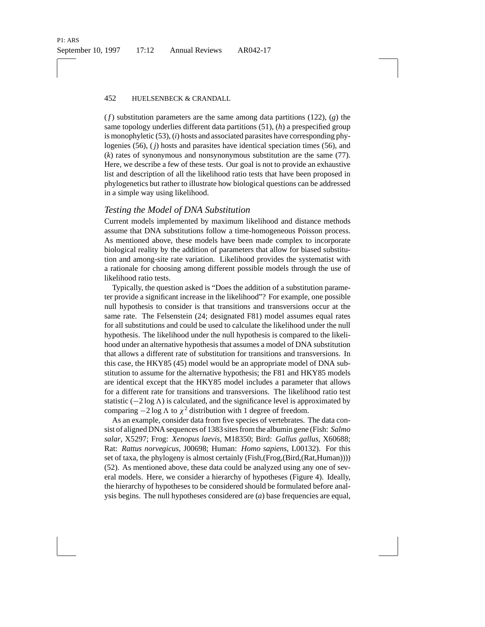$(f)$  substitution parameters are the same among data partitions  $(122)$ ,  $(g)$  the same topology underlies different data partitions (51), (*h*) a prespecified group is monophyletic (53), (*i*) hosts and associated parasites have corresponding phylogenies (56), ( *j*) hosts and parasites have identical speciation times (56), and (*k*) rates of synonymous and nonsynonymous substitution are the same (77). Here, we describe a few of these tests. Our goal is not to provide an exhaustive list and description of all the likelihood ratio tests that have been proposed in phylogenetics but rather to illustrate how biological questions can be addressed in a simple way using likelihood.

#### *Testing the Model of DNA Substitution*

Current models implemented by maximum likelihood and distance methods assume that DNA substitutions follow a time-homogeneous Poisson process. As mentioned above, these models have been made complex to incorporate biological reality by the addition of parameters that allow for biased substitution and among-site rate variation. Likelihood provides the systematist with a rationale for choosing among different possible models through the use of likelihood ratio tests.

Typically, the question asked is "Does the addition of a substitution parameter provide a significant increase in the likelihood"? For example, one possible null hypothesis to consider is that transitions and transversions occur at the same rate. The Felsenstein (24; designated F81) model assumes equal rates for all substitutions and could be used to calculate the likelihood under the null hypothesis. The likelihood under the null hypothesis is compared to the likelihood under an alternative hypothesis that assumes a model of DNA substitution that allows a different rate of substitution for transitions and transversions. In this case, the HKY85 (45) model would be an appropriate model of DNA substitution to assume for the alternative hypothesis; the F81 and HKY85 models are identical except that the HKY85 model includes a parameter that allows for a different rate for transitions and transversions. The likelihood ratio test statistic  $(-2 \log \Lambda)$  is calculated, and the significance level is approximated by comparing  $-2 \log \Lambda$  to  $\chi^2$  distribution with 1 degree of freedom.

As an example, consider data from five species of vertebrates. The data consist of aligned DNA sequences of 1383 sites from the albumin gene (Fish: *Salmo salar*, X5297; Frog: *Xenopus laevis*, M18350; Bird: *Gallus gallus*, X60688; Rat: *Rattus norvegicus*, J00698; Human: *Homo sapiens*, L00132). For this set of taxa, the phylogeny is almost certainly (Fish,(Frog,(Bird,(Rat,Human)))) (52). As mentioned above, these data could be analyzed using any one of several models. Here, we consider a hierarchy of hypotheses (Figure 4). Ideally, the hierarchy of hypotheses to be considered should be formulated before analysis begins. The null hypotheses considered are (*a*) base frequencies are equal,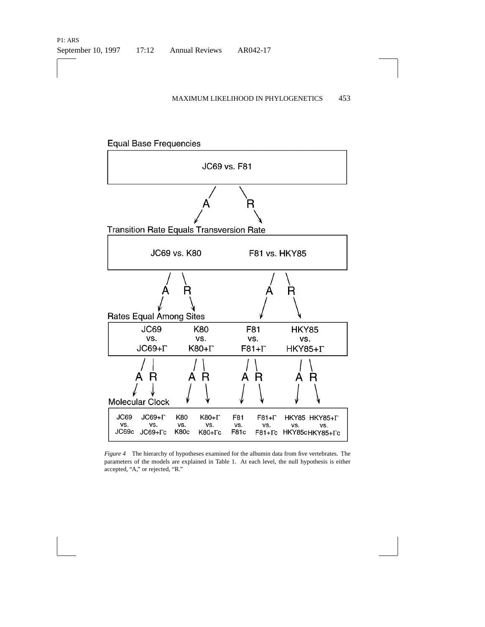

*Figure 4* The hierarchy of hypotheses examined for the albumin data from five vertebrates. The parameters of the models are explained in Table 1. At each level, the null hypothesis is either accepted, "A," or rejected, "R."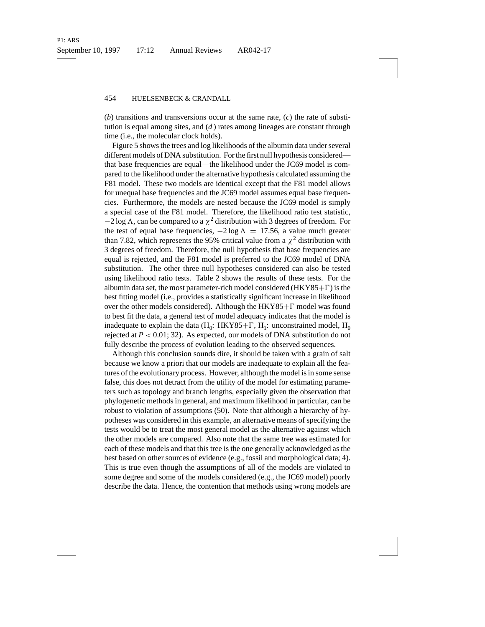(*b*) transitions and transversions occur at the same rate, (*c*) the rate of substitution is equal among sites, and (*d* ) rates among lineages are constant through time (i.e., the molecular clock holds).

Figure 5 shows the trees and log likelihoods of the albumin data under several different models of DNA substitution. For the first null hypothesis considered that base frequencies are equal—the likelihood under the JC69 model is compared to the likelihood under the alternative hypothesis calculated assuming the F81 model. These two models are identical except that the F81 model allows for unequal base frequencies and the JC69 model assumes equal base frequencies. Furthermore, the models are nested because the JC69 model is simply a special case of the F81 model. Therefore, the likelihood ratio test statistic,  $-2 \log \Lambda$ , can be compared to a  $\chi^2$  distribution with 3 degrees of freedom. For the test of equal base frequencies,  $-2 \log \Lambda = 17.56$ , a value much greater than 7.82, which represents the 95% critical value from a  $\chi^2$  distribution with 3 degrees of freedom. Therefore, the null hypothesis that base frequencies are equal is rejected, and the F81 model is preferred to the JC69 model of DNA substitution. The other three null hypotheses considered can also be tested using likelihood ratio tests. Table 2 shows the results of these tests. For the albumin data set, the most parameter-rich model considered ( $HKY85+\Gamma$ ) is the best fitting model (i.e., provides a statistically significant increase in likelihood over the other models considered). Although the  $HKY85+\Gamma$  model was found to best fit the data, a general test of model adequacy indicates that the model is inadequate to explain the data ( $H_0$ : HKY85+ $\Gamma$ , H<sub>1</sub>: unconstrained model, H<sub>0</sub> rejected at  $P < 0.01$ ; 32). As expected, our models of DNA substitution do not fully describe the process of evolution leading to the observed sequences.

Although this conclusion sounds dire, it should be taken with a grain of salt because we know a priori that our models are inadequate to explain all the features of the evolutionary process. However, although the model is in some sense false, this does not detract from the utility of the model for estimating parameters such as topology and branch lengths, especially given the observation that phylogenetic methods in general, and maximum likelihood in particular, can be robust to violation of assumptions (50). Note that although a hierarchy of hypotheses was considered in this example, an alternative means of specifying the tests would be to treat the most general model as the alternative against which the other models are compared. Also note that the same tree was estimated for each of these models and that this tree is the one generally acknowledged as the best based on other sources of evidence (e.g., fossil and morphological data; 4). This is true even though the assumptions of all of the models are violated to some degree and some of the models considered (e.g., the JC69 model) poorly describe the data. Hence, the contention that methods using wrong models are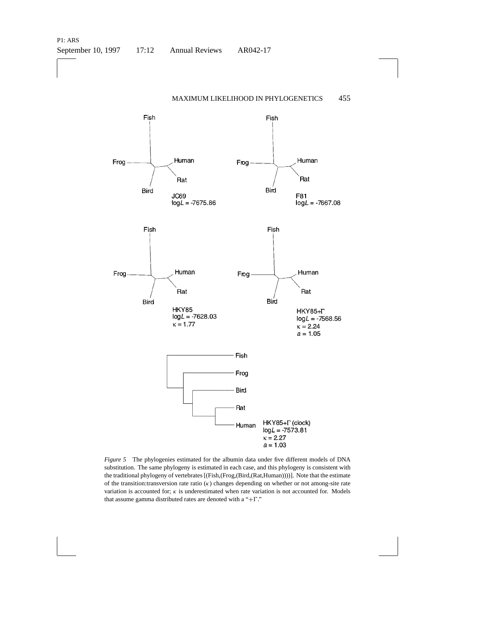

*Figure 5* The phylogenies estimated for the albumin data under five different models of DNA substitution. The same phylogeny is estimated in each case, and this phylogeny is consistent with the traditional phylogeny of vertebrates [(Fish,(Frog,(Bird,(Rat,Human))))]. Note that the estimate of the transition:transversion rate ratio  $(\kappa)$  changes depending on whether or not among-site rate variation is accounted for;  $\kappa$  is underestimated when rate variation is not accounted for. Models that assume gamma distributed rates are denoted with a " $+\Gamma$ ."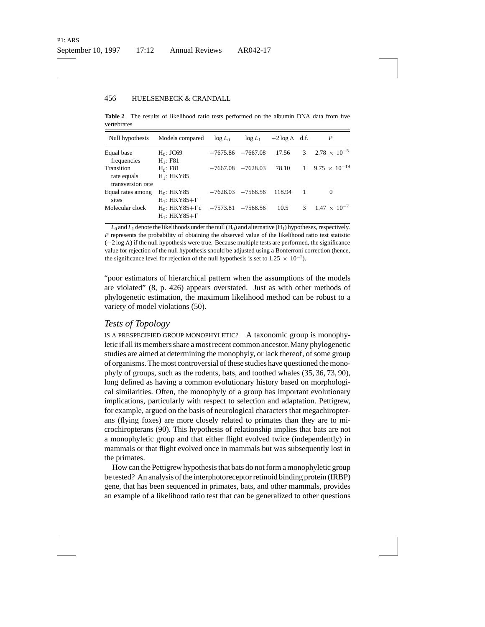| Null hypothesis                                | Models compared                                      | $\log L_0$ | $\log L_1$            | $-2 \log \Lambda$ d.f. |              | $\boldsymbol{P}$                 |
|------------------------------------------------|------------------------------------------------------|------------|-----------------------|------------------------|--------------|----------------------------------|
| Equal base<br>frequencies                      | $H_0$ : JC69<br>$H_1: F81$                           |            | $-7675.86$ $-7667.08$ | 17.56                  |              | 3 2.78 $\times$ 10 <sup>-5</sup> |
| Transition<br>rate equals<br>transversion rate | $H_0$ : F81<br>$H_1$ : HKY85                         | $-7667.08$ | $-7628.03$            | 78.10                  | $\mathbf{1}$ | $9.75 \times 10^{-19}$           |
| Equal rates among<br>sites                     | $H_0$ : HKY85<br>$H_1$ : HKY85+ $\Gamma$             | $-7628.03$ | $-7568.56$            | 118.94                 |              | $\Omega$                         |
| Molecular clock                                | $H_0$ : HKY85+ $\Gamma$ c<br>$H_1$ : HKY85+ $\Gamma$ | $-7573.81$ | $-7568.56$            | 10.5                   |              | 3 $1.47 \times 10^{-2}$          |

**Table 2** The results of likelihood ratio tests performed on the albumin DNA data from five vertebrates

 $L_0$  and  $L_1$  denote the likelihoods under the null ( $H_0$ ) and alternative ( $H_1$ ) hypotheses, respectively. *P* represents the probability of obtaining the observed value of the likelihood ratio test statistic  $(-2 \log \Lambda)$  if the null hypothesis were true. Because multiple tests are performed, the significance value for rejection of the null hypothesis should be adjusted using a Bonferroni correction (hence, the significance level for rejection of the null hypothesis is set to  $1.25 \times 10^{-2}$ ).

"poor estimators of hierarchical pattern when the assumptions of the models are violated" (8, p. 426) appears overstated. Just as with other methods of phylogenetic estimation, the maximum likelihood method can be robust to a variety of model violations (50).

## *Tests of Topology*

IS A PRESPECIFIED GROUP MONOPHYLETIC? A taxonomic group is monophyletic if all its members share a most recent common ancestor. Many phylogenetic studies are aimed at determining the monophyly, or lack thereof, of some group of organisms. The most controversial of these studies have questioned the monophyly of groups, such as the rodents, bats, and toothed whales (35, 36, 73, 90), long defined as having a common evolutionary history based on morphological similarities. Often, the monophyly of a group has important evolutionary implications, particularly with respect to selection and adaptation. Pettigrew, for example, argued on the basis of neurological characters that megachiropterans (flying foxes) are more closely related to primates than they are to microchiropterans (90). This hypothesis of relationship implies that bats are not a monophyletic group and that either flight evolved twice (independently) in mammals or that flight evolved once in mammals but was subsequently lost in the primates.

How can the Pettigrew hypothesis that bats do not form a monophyletic group be tested? An analysis of the interphotoreceptor retinoid binding protein (IRBP) gene, that has been sequenced in primates, bats, and other mammals, provides an example of a likelihood ratio test that can be generalized to other questions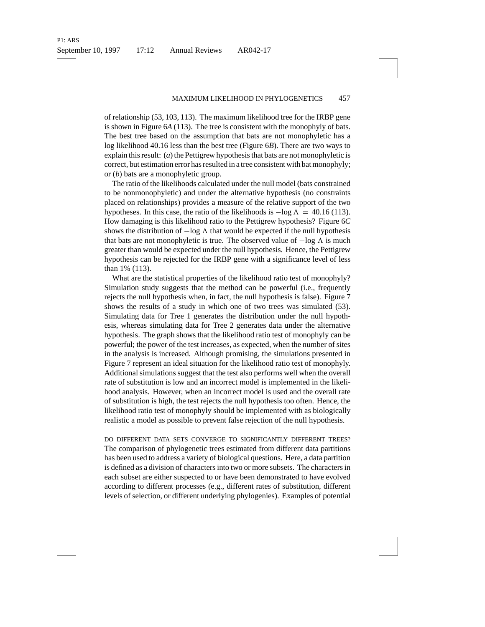of relationship (53, 103, 113). The maximum likelihood tree for the IRBP gene is shown in Figure 6*A* (113). The tree is consistent with the monophyly of bats. The best tree based on the assumption that bats are not monophyletic has a log likelihood 40.16 less than the best tree (Figure 6*B*). There are two ways to explain this result: (*a*) the Pettigrew hypothesis that bats are not monophyletic is correct, but estimation error has resulted in a tree consistent with bat monophyly; or (*b*) bats are a monophyletic group.

The ratio of the likelihoods calculated under the null model (bats constrained to be nonmonophyletic) and under the alternative hypothesis (no constraints placed on relationships) provides a measure of the relative support of the two hypotheses. In this case, the ratio of the likelihoods is  $-\log \Lambda = 40.16$  (113). How damaging is this likelihood ratio to the Pettigrew hypothesis? Figure 6*C* shows the distribution of  $-\log \Lambda$  that would be expected if the null hypothesis that bats are not monophyletic is true. The observed value of  $-\log \Lambda$  is much greater than would be expected under the null hypothesis. Hence, the Pettigrew hypothesis can be rejected for the IRBP gene with a significance level of less than 1% (113).

What are the statistical properties of the likelihood ratio test of monophyly? Simulation study suggests that the method can be powerful (i.e., frequently rejects the null hypothesis when, in fact, the null hypothesis is false). Figure 7 shows the results of a study in which one of two trees was simulated (53). Simulating data for Tree 1 generates the distribution under the null hypothesis, whereas simulating data for Tree 2 generates data under the alternative hypothesis. The graph shows that the likelihood ratio test of monophyly can be powerful; the power of the test increases, as expected, when the number of sites in the analysis is increased. Although promising, the simulations presented in Figure 7 represent an ideal situation for the likelihood ratio test of monophyly. Additional simulations suggest that the test also performs well when the overall rate of substitution is low and an incorrect model is implemented in the likelihood analysis. However, when an incorrect model is used and the overall rate of substitution is high, the test rejects the null hypothesis too often. Hence, the likelihood ratio test of monophyly should be implemented with as biologically realistic a model as possible to prevent false rejection of the null hypothesis.

DO DIFFERENT DATA SETS CONVERGE TO SIGNIFICANTLY DIFFERENT TREES? The comparison of phylogenetic trees estimated from different data partitions has been used to address a variety of biological questions. Here, a data partition is defined as a division of characters into two or more subsets. The characters in each subset are either suspected to or have been demonstrated to have evolved according to different processes (e.g., different rates of substitution, different levels of selection, or different underlying phylogenies). Examples of potential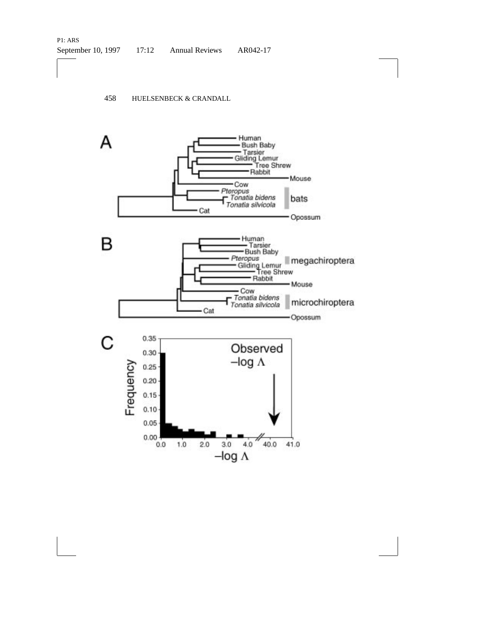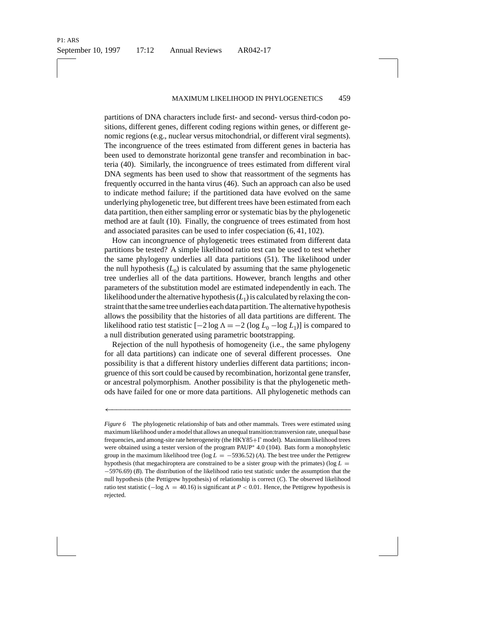partitions of DNA characters include first- and second- versus third-codon positions, different genes, different coding regions within genes, or different genomic regions (e.g., nuclear versus mitochondrial, or different viral segments). The incongruence of the trees estimated from different genes in bacteria has been used to demonstrate horizontal gene transfer and recombination in bacteria (40). Similarly, the incongruence of trees estimated from different viral DNA segments has been used to show that reassortment of the segments has frequently occurred in the hanta virus (46). Such an approach can also be used to indicate method failure; if the partitioned data have evolved on the same underlying phylogenetic tree, but different trees have been estimated from each data partition, then either sampling error or systematic bias by the phylogenetic method are at fault (10). Finally, the congruence of trees estimated from host and associated parasites can be used to infer cospeciation (6, 41, 102).

How can incongruence of phylogenetic trees estimated from different data partitions be tested? A simple likelihood ratio test can be used to test whether the same phylogeny underlies all data partitions (51). The likelihood under the null hypothesis  $(L_0)$  is calculated by assuming that the same phylogenetic tree underlies all of the data partitions. However, branch lengths and other parameters of the substitution model are estimated independently in each. The likelihood under the alternative hypothesis  $(L<sub>1</sub>)$  is calculated by relaxing the constraint that the same tree underlies each data partition. The alternative hypothesis allows the possibility that the histories of all data partitions are different. The likelihood ratio test statistic  $[-2 \log \Lambda = -2 (\log L_0 - \log L_1)]$  is compared to a null distribution generated using parametric bootstrapping.

Rejection of the null hypothesis of homogeneity (i.e., the same phylogeny for all data partitions) can indicate one of several different processes. One possibility is that a different history underlies different data partitions; incongruence of this sort could be caused by recombination, horizontal gene transfer, or ancestral polymorphism. Another possibility is that the phylogenetic methods have failed for one or more data partitions. All phylogenetic methods can

←−−−−−−−−−−−−−−−−−−−−−−−−−−−−−−−−−−−−−−−−−−−−−−−−−−−−−−

*Figure 6* The phylogenetic relationship of bats and other mammals. Trees were estimated using maximum likelihood under a model that allows an unequal transition:transversion rate, unequal base frequencies, and among-site rate heterogeneity (the HKY85+ $\Gamma$  model). Maximum likelihood trees were obtained using a tester version of the program PAUP<sup>∗</sup> 4.0 (104). Bats form a monophyletic group in the maximum likelihood tree ( $log L = -5936.52$ ) (*A*). The best tree under the Pettigrew hypothesis (that megachiroptera are constrained to be a sister group with the primates) ( $log L =$ −5976.69) (*B*). The distribution of the likelihood ratio test statistic under the assumption that the null hypothesis (the Pettigrew hypothesis) of relationship is correct (*C*). The observed likelihood ratio test statistic ( $-\log \Lambda = 40.16$ ) is significant at *P* < 0.01. Hence, the Pettigrew hypothesis is rejected.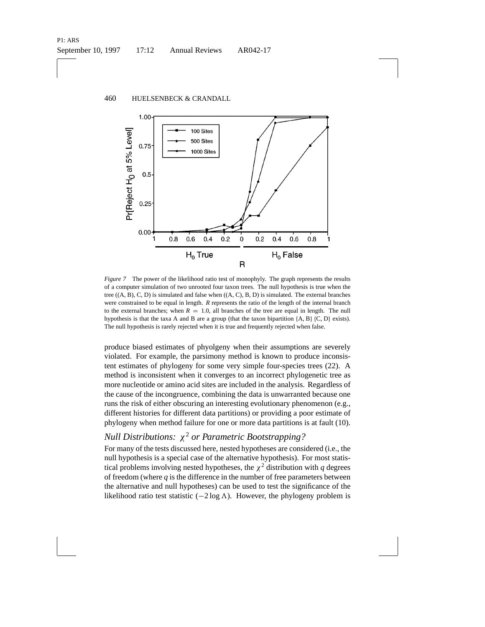

*Figure* 7 The power of the likelihood ratio test of monophyly. The graph represents the results of a computer simulation of two unrooted four taxon trees. The null hypothesis is true when the tree  $((A, B), C, D)$  is simulated and false when  $((A, C), B, D)$  is simulated. The external branches were constrained to be equal in length. *R* represents the ratio of the length of the internal branch to the external branches; when  $R = 1.0$ , all branches of the tree are equal in length. The null hypothesis is that the taxa A and B are a group (that the taxon bipartition  ${A, B}$  {C, D} exists). The null hypothesis is rarely rejected when it is true and frequently rejected when false.

produce biased estimates of phyolgeny when their assumptions are severely violated. For example, the parsimony method is known to produce inconsistent estimates of phylogeny for some very simple four-species trees (22). A method is inconsistent when it converges to an incorrect phylogenetic tree as more nucleotide or amino acid sites are included in the analysis. Regardless of the cause of the incongruence, combining the data is unwarranted because one runs the risk of either obscuring an interesting evolutionary phenomenon (e.g., different histories for different data partitions) or providing a poor estimate of phylogeny when method failure for one or more data partitions is at fault (10).

# *Null Distributions:* χ<sup>2</sup> *or Parametric Bootstrapping?*

For many of the tests discussed here, nested hypotheses are considered (i.e., the null hypothesis is a special case of the alternative hypothesis). For most statistical problems involving nested hypotheses, the  $\chi^2$  distribution with *q* degrees of freedom (where *q* is the difference in the number of free parameters between the alternative and null hypotheses) can be used to test the significance of the likelihood ratio test statistic ( $-2 \log \Lambda$ ). However, the phylogeny problem is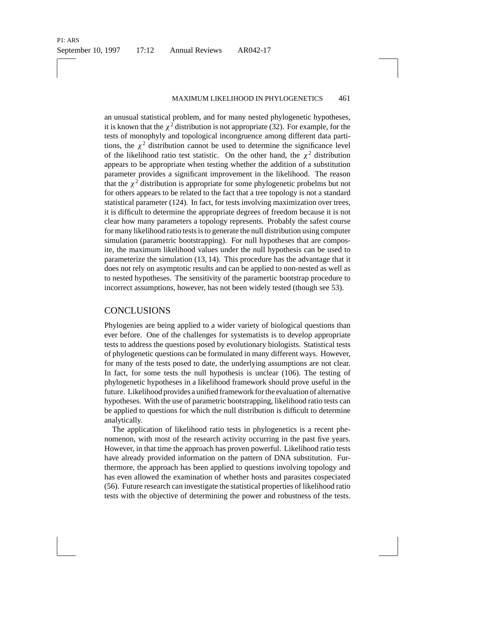an unusual statistical problem, and for many nested phylogenetic hypotheses, it is known that the  $\chi^2$  distribution is not appropriate (32). For example, for the tests of monophyly and topological incongruence among different data partitions, the  $\chi^2$  distribution cannot be used to determine the significance level of the likelihood ratio test statistic. On the other hand, the  $\chi^2$  distribution appears to be appropriate when testing whether the addition of a substitution parameter provides a significant improvement in the likelihood. The reason that the  $\chi^2$  distribution is appropriate for some phylogenetic probelms but not for others appears to be related to the fact that a tree topology is not a standard statistical parameter (124). In fact, for tests involving maximization over trees, it is difficult to determine the appropriate degrees of freedom because it is not clear how many parameters a topology represents. Probably the safest course for many likelihood ratio tests is to generate the null distribution using computer simulation (parametric bootstrapping). For null hypotheses that are composite, the maximum likelihood values under the null hypothesis can be used to parameterize the simulation (13, 14). This procedure has the advantage that it does not rely on asymptotic results and can be applied to non-nested as well as to nested hypotheses. The sensitivity of the paramertic bootstrap procedure to incorrect assumptions, however, has not been widely tested (though see 53).

#### **CONCLUSIONS**

Phylogenies are being applied to a wider variety of biological questions than ever before. One of the challenges for systematists is to develop appropriate tests to address the questions posed by evolutionary biologists. Statistical tests of phylogenetic questions can be formulated in many different ways. However, for many of the tests posed to date, the underlying assumptions are not clear. In fact, for some tests the null hypothesis is unclear (106). The testing of phylogenetic hypotheses in a likelihood framework should prove useful in the future. Likelihood provides a unified framework for the evaluation of alternative hypotheses. With the use of parametric bootstrapping, likelihood ratio tests can be applied to questions for which the null distribution is difficult to determine analytically.

The application of likelihood ratio tests in phylogenetics is a recent phenomenon, with most of the research activity occurring in the past five years. However, in that time the approach has proven powerful. Likelihood ratio tests have already provided information on the pattern of DNA substitution. Furthermore, the approach has been applied to questions involving topology and has even allowed the examination of whether hosts and parasites cospeciated (56). Future research can investigate the statistical properties of likelihood ratio tests with the objective of determining the power and robustness of the tests.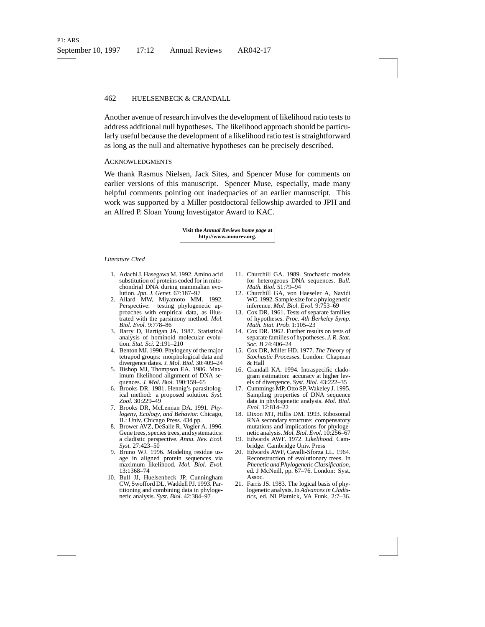Another avenue of research involves the development of likelihood ratio tests to address additional null hypotheses. The likelihood approach should be particularly useful because the development of a likelihood ratio test is straightforward as long as the null and alternative hypotheses can be precisely described.

#### ACKNOWLEDGMENTS

We thank Rasmus Nielsen, Jack Sites, and Spencer Muse for comments on earlier versions of this manuscript. Spencer Muse, especially, made many helpful comments pointing out inadequacies of an earlier manuscript. This work was supported by a Miller postdoctoral fellowship awarded to JPH and an Alfred P. Sloan Young Investigator Award to KAC.

> **Visit the** *Annual Reviews home page* **at http://www.annurev.org.**

#### *Literature Cited*

- 1. Adachi J, Hasegawa M. 1992. Amino acid substitution of proteins coded for in mitochondrial DNA during mammalian evolution. *Jpn. J. Genet.* 67:187–97
- 2. Allard MW, Miyamoto MM. 1992. Perspective: testing phylogenetic approaches with empirical data, as illustrated with the parsimony method. *Mol. Biol. Evol.* 9:778–86
- 3. Barry D, Hartigan JA. 1987. Statistical analysis of hominoid molecular evolution. *Stat. Sci.* 2:191–210
- 4. Benton MJ. 1990. Phylogeny of the major tetrapod groups: morphological data and divergence dates. *J. Mol. Biol.* 30:409–24
- 5. Bishop MJ, Thompson EA. 1986. Maximum likelihood alignment of DNA sequences. *J. Mol. Biol.* 190:159–65
- 6. Brooks DR. 1981. Hennig's parasitological method: a proposed solution. *Syst. Zool.* 30:229–49
- 7. Brooks DR, McLennan DA. 1991. *Phylogeny, Ecology, and Behavior.* Chicago, IL: Univ. Chicago Press. 434 pp.
- 8. Brower AVZ, DeSalle R, Vogler A. 1996. Gene trees, species trees, and systematics: a cladistic perspective. *Annu. Rev. Ecol. Syst.* 27:423–50
- 9. Bruno WJ. 1996. Modeling residue usage in aligned protein sequences via maximum likelihood. *Mol. Biol. Evol.* 13:1368–74
- 10. Bull JJ, Huelsenbeck JP, Cunningham CW, Swofford DL, Waddell PJ. 1993. Partitioning and combining data in phylogenetic analysis. *Syst. Biol.* 42:384–97
- 11. Churchill GA. 1989. Stochastic models for heterogeous DNA sequences. *Bull. Math. Biol.* 51:79–94
- 12. Churchill GA, von Haeseler A, Navidi WC. 1992. Sample size for a phylogenetic inference. *Mol. Biol. Evol.* 9:753–69
- 13. Cox DR. 1961. Tests of separate families of hypotheses. *Proc. 4th Berkeley Symp. Math. Stat. Prob.* 1:105–23
- 14. Cox DR. 1962. Further results on tests of separate families of hypotheses. *J. R. Stat. Soc. B* 24:406–24
- 15. Cox DR, Miller HD. 1977. *The Theory of Stochastic Processes.* London: Chapman & Hall
- 16. Crandall KA. 1994. Intraspecific cladogram estimation: accuracy at higher levels of divergence. *Syst. Biol.* 43:222–35
- 17. Cummings MP, Otto SP, Wakeley J. 1995. Sampling properties of DNA sequence data in phylogenetic analysis. *Mol. Biol. Evol.* 12:814–22
- 18. Dixon MT, Hillis DM. 1993. Ribosomal RNA secondary structure: compensatory mutations and implications for phylogenetic analysis. *Mol. Biol. Evol.* 10:256–67
- 19. Edwards AWF. 1972. *Likelihood.* Cambridge: Cambridge Univ. Press
- 20. Edwards AWF, Cavalli-Sforza LL. 1964. Reconstruction of evolutionary trees. In *Phenetic and Phylogenetic Classification,* ed. J McNeill, pp. 67–76. London: Syst. Assoc.
- 21. Farris JS. 1983. The logical basis of phylogenetic analysis. In *Advances in Cladistics,* ed. NI Platnick, VA Funk, 2:7–36.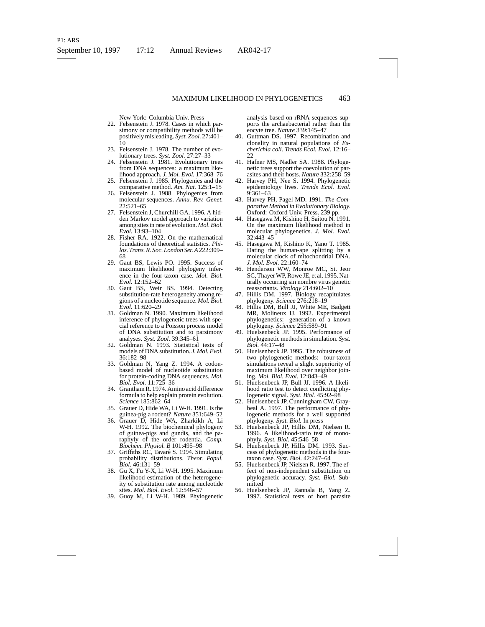New York: Columbia Univ. Press

- 22. Felsenstein J. 1978. Cases in which parsimony or compatibility methods will be positively misleading. *Syst. Zool.* 27:401– 10
- 23. Felsenstein J. 1978. The number of evolutionary trees. *Syst. Zool.* 27:27–33
- 24. Felsenstein J. 1981. Evolutionary trees from DNA sequences: a maximum likelihood approach. *J. Mol. Evol.* 17:368–76
- 25. Felsenstein J. 1985. Phylogenies and the comparative method. *Am. Nat.* 125:1–15
- 26. Felsenstein J. 1988. Phylogenies from molecular sequences. *Annu. Rev. Genet.* 22:521–65
- 27. Felsenstein J, Churchill GA. 1996. A hidden Markov model approach to variation among sites in rate of evolution. *Mol. Biol. Evol.* 13:93–104
- 28. Fisher RA. 1922. On the mathematical foundations of theoretical statistics. *Philos. Trans. R. Soc. London Ser. A*222:309– 68
- 29. Gaut BS, Lewis PO. 1995. Success of maximum likelihood phylogeny inference in the four-taxon case. *Mol. Biol. Evol.* 12:152–62
- 30. Gaut BS, Weir BS. 1994. Detecting substitution-rate heterogeneity among regions of a nucleotide sequence. *Mol. Biol. Evol.* 11:620–29
- 31. Goldman N. 1990. Maximum likelihood inference of phylogenetic trees with special reference to a Poisson process model of DNA substitution and to parsimony analyses. *Syst. Zool.* 39:345–61
- 32. Goldman N. 1993. Statistical tests of models of DNA substitution. *J. Mol. Evol.* 36:182–98
- 33. Goldman N, Yang Z. 1994. A codonbased model of nucleotide substitution for protein-coding DNA sequences. *Mol. Biol. Evol.* 11:725–36
- 34. Grantham R. 1974. Amino acid difference formula to help explain protein evolution. *Science* 185:862–64
- 35. Grauer D, Hide WA, Li W-H. 1991. Is the guinea-pig a rodent? *Nature* 351:649–52
- 36. Grauer D, Hide WA, Zharkikh A, Li W-H. 1992. The biochemical phylogeny of guinea-pigs and gundis, and the paraphyly of the order rodentia. *Comp. Biochem. Physiol. B* 101:495–98<br>37. Griffiths RC, Tavaré S. 1994. Simulating
- probability distributions. *Theor. Popul. Biol.* 46:131–59
- 38. Gu X, Fu Y-X, Li W-H. 1995. Maximum likelihood estimation of the heterogeneity of substitution rate among nucleotide sites. *Mol. Biol. Evol.* 12:546–57
- 39. Guoy M, Li W-H. 1989. Phylogenetic

analysis based on rRNA sequences supports the archaebacterial rather than the eocyte tree. *Nature* 339:145–47

- 40. Guttman DS. 1997. Recombination and clonality in natural populations of *Escherichia coli. Trends Ecol. Evol.* 12:16–  $22$
- 41. Hafner MS, Nadler SA. 1988. Phylogenetic trees support the coevolution of parasites and their hosts. *Nature* 332:258–59
- 42. Harvey PH, Nee S. 1994. Phylogenetic epidemiology lives. *Trends Ecol. Evol.* 9:361–63
- 43. Harvey PH, Pagel MD. 1991. *The Comparative Method in Evolutionary Biology.* Oxford: Oxford Univ. Press. 239 pp.
- 44. Hasegawa M, Kishino H, Saitou N. 1991. On the maximum likelihood method in molecular phylogenetics. *J. Mol. Evol.* 32:443–45
- 45. Hasegawa M, Kishino K, Yano T. 1985. Dating the human-ape splitting by a molecular clock of mitochondrial DNA. *J. Mol. Evol.* 22:160–74
- 46. Henderson WW, Monroe MC, St. Jeor SC, Thayer WP, Rowe JE, et al. 1995. Naturally occurring sin nombre virus genetic reassortants. *Virology* 214:602–10
- 47. Hillis DM. 1997. Biology recapitulates phylogeny. *Science* 276:218–19
- 48. Hillis DM, Bull JJ, White ME, Badgett MR, Molineux IJ. 1992. Experimental phylogenetics: generation of a known phylogeny. *Science* 255:589–91
- 49. Huelsenbeck JP. 1995. Performance of phylogenetic methods in simulation. *Syst. Biol.* 44:17–48
- 50. Huelsenbeck JP. 1995. The robustness of two phylogenetic methods: four-taxon simulations reveal a slight superiority of maximum likelihood over neighbor joining. *Mol. Biol. Evol.* 12:843–49
- 51. Huelsenbeck JP, Bull JJ. 1996. A likelihood ratio test to detect conflicting phylogenetic signal. *Syst. Biol.* 45:92–98
- 52. Huelsenbeck JP, Cunningham CW, Graybeal A. 1997. The performance of phylogenetic methods for a well supported phylogeny. *Syst. Biol.* In press
- 53. Huelsenbeck JP, Hillis DM, Nielsen R. 1996. A likelihood-ratio test of monophyly. *Syst. Biol.* 45:546–58
- 54. Huelsenbeck JP, Hillis DM. 1993. Success of phylogenetic methods in the fourtaxon case. *Syst. Biol.* 42:247–64
- 55. Huelsenbeck JP, Nielsen R. 1997. The effect of non-independent substitution on phylogenetic accuracy. *Syst. Biol.* Submitted
- 56. Huelsenbeck JP, Rannala B, Yang Z. 1997. Statistical tests of host parasite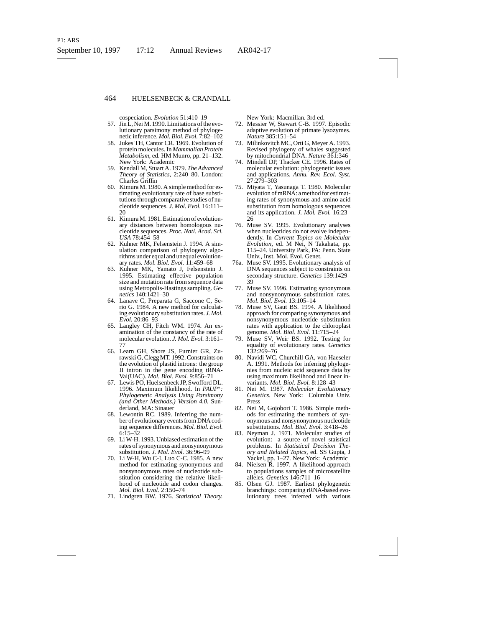cospeciation. *Evolution* 51:410–19

- 57. Jin L, Nei M. 1990. Limitations of the evolutionary parsimony method of phylogenetic inference. *Mol. Biol. Evol.* 7:82–102
- 58. Jukes TH, Cantor CR. 1969. Evolution of protein molecules. In *Mammalian Protein Metabolism,* ed. HM Munro, pp. 21–132. New York: Academic
- 59. Kendall M, Stuart A. 1979. *The Advanced Theory of Statistics,* 2:240–80. London: Charles Griffin
- 60. Kimura M. 1980. A simple method for estimating evolutionary rate of base substitutions through comparative studies of nucleotide sequences. *J. Mol. Evol.* 16:111–  $20$
- 61. Kimura M. 1981. Estimation of evolutionary distances between homologous nucleotide sequences. *Proc. Natl. Acad. Sci. USA* 78:454–58
- 62. Kuhner MK, Felsenstein J. 1994. A simulation comparison of phylogeny algorithms under equal and unequal evolutionary rates. *Mol. Biol. Evol.* 11:459–68
- 63. Kuhner MK, Yamato J, Felsenstein J. 1995. Estimating effective population size and mutation rate from sequence data using Metropolis-Hastings sampling. *Genetics* 140:1421–30
- 64. Lanave C, Preparata G, Saccone C, Serio G. 1984. A new method for calculating evolutionary substitution rates. *J. Mol. Evol.* 20:86–93
- 65. Langley CH, Fitch WM. 1974. An examination of the constancy of the rate of molecular evolution. *J. Mol. Evol.* 3:161– 77
- 66. Learn GH, Shore JS, Furnier GR, Zurawski G, Clegg MT. 1992. Constraints on the evolution of plastid introns: the group II intron in the gene encoding tRNA-Val(UAC). *Mol. Biol. Evol.* 9:856–71
- 67. Lewis PO, Huelsenbeck JP, Swofford DL. 1996. Maximum likelihood. In *PAUP*∗*: Phylogenetic Analysis Using Parsimony (and Other Methods,) Version 4.0.* Sunderland, MA: Sinauer
- 68. Lewontin RC. 1989. Inferring the number of evolutionary events from DNA coding sequence differences. *Mol. Biol. Evol.* 6:15–32
- 69. Li W-H. 1993. Unbiased estimation of the rates of synonymous and nonsynonymous substitution. *J. Mol. Evol.* 36:96–99
- 70. Li W-H, Wu C-I, Luo C-C. 1985. A new method for estimating synonymous and nonsynonymous rates of nucleotide substitution considering the relative likelihood of nucleotide and codon changes. *Mol. Biol. Evol.* 2:150–74
- 71. Lindgren BW. 1976. *Statistical Theory.*

New York: Macmillan. 3rd ed.

- 72. Messier W, Stewart C-B. 1997. Episodic adaptive evolution of primate lysozymes. *Nature* 385:151–54
- 73. Milinkovitch MC, Orti G, Meyer A. 1993. Revised phylogeny of whales suggested by mitochondrial DNA. *Nature* 361:346
- 74. Mindell DP, Thacker CE. 1996. Rates of molecular evolution: phylogenetic issues and applications. *Annu. Rev. Ecol. Syst.* 27:279–303
- 75. Miyata T, Yasunaga T. 1980. Molecular evolution of mRNA: a method for estimating rates of synonymous and amino acid substitution from homologous sequences and its application. *J. Mol. Evol.* 16:23– 26
- 76. Muse SV. 1995. Evolutionary analyses when nucleotides do not evolve independently. In *Current Topics on Molecular Evolution,* ed. M Nei, N Takahata, pp. 115–24. University Park, PA: Penn. State Univ., Inst. Mol. Evol. Genet.
- 76a. Muse SV. 1995. Evolutionary analysis of DNA sequences subject to constraints on secondary structure. *Genetics* 139:1429– 39
- 77. Muse SV. 1996. Estimating synonymous and nonsynonymous substitution rates. *Mol. Biol. Evol.* 13:105–14
- 78. Muse SV, Gaut BS. 1994. A likelihood approach for comparing synonymous and nonsynonymous nucleotide substitution rates with application to the chloroplast genome. *Mol. Biol. Evol.* 11:715–24
- 79. Muse SV, Weir BS. 1992. Testing for equality of evolutionary rates. *Genetics* 132:269–76
- 80. Navidi WC, Churchill GA, von Haeseler A. 1991. Methods for inferring phylogenies from nucleic acid sequence data by using maximum likelihood and linear invariants. *Mol. Biol. Evol.* 8:128–43
- 81. Nei M. 1987. *Molecular Evolutionary Genetics.* New York: Columbia Univ. Press
- 82. Nei M, Gojobori T. 1986. Simple methods for estimating the numbers of synonymous and nonsynonymous nucleotide substitutions. *Mol. Biol. Evol.* 3:418–26
- 83. Neyman J. 1971. Molecular studies of evolution: a source of novel staistical problems. In *Statistical Decision Theory and Related Topics,* ed. SS Gupta, J Yackel, pp. 1–27. New York: Academic
- 84. Nielsen R. 1997. A likelihood approach to populations samples of microsatellite alleles. *Genetics* 146:711–16
- 85. Olsen GJ. 1987. Earliest phylogenetic branchings: comparing rRNA-based evolutionary trees inferred with various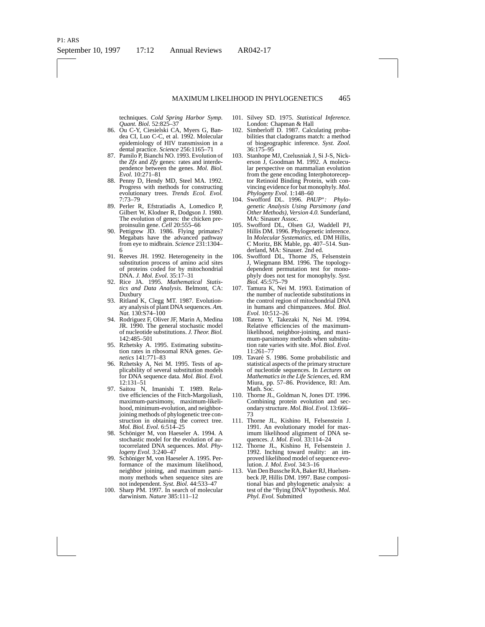techniques. *Cold Spring Harbor Symp. Quant. Biol.* 52:825–37

- 86. Ou C-Y, Ciesielski CA, Myers G, Bandea CI, Luo C-C, et al. 1992. Molecular epidemiology of HIV transmission in a dental practice. *Science* 256:1165–71
- 87. Pamilo P, Bianchi NO. 1993. Evolution of the *Zfx* and *Zfy* genes: rates and interdependence between the genes. *Mol. Biol. Evol.* 10:271–81
- 88. Penny D, Hendy MD, Steel MA. 1992. Progress with methods for constructing evolutionary trees. *Trends Ecol. Evol.* 7:73–79
- 89. Perler R, Efstratiadis A, Lomedico P, Gilbert W, Klodner R, Dodgson J. 1980. The evolution of genes: the chicken preproinsulin gene. *Cell* 20:555–66
- 90. Pettigrew JD. 1986. Flying primates? Megabats have the advanced pathway from eye to midbrain. *Science* 231:1304– 6
- 91. Reeves JH. 1992. Heterogeneity in the substitution process of amino acid sites of proteins coded for by mitochondrial DNA. *J. Mol. Evol.* 35:17–31
- 92. Rice JA. 1995. *Mathematical Statistics and Data Analysis.* Belmont, CA: Duxbury
- 93. Ritland K, Clegg MT. 1987. Evolutionary analysis of plant DNA sequences. *Am. Nat.* 130:S74–100
- 94. Rodriguez F, Oliver JF, Marin A, Medina JR. 1990. The general stochastic model of nucleotide substitutions. *J. Theor. Biol.* 142:485–501
- 95. Rzhetsky A. 1995. Estimating substitution rates in ribosomal RNA genes. *Genetics* 141:771–83
- 96. Rzhetsky A, Nei M. 1995. Tests of applicability of several substitution models for DNA sequence data. *Mol. Biol. Evol.* 12:131–51
- 97. Saitou N, Imanishi T. 1989. Relative efficiencies of the Fitch-Margoliash, maximum-parsimony, maximum-likelihood, minimum-evolution, and neighborjoining methods of phylogenetic tree construction in obtaining the correct tree. *Mol. Biol. Evol.* 6:514–25
- 98. Schöniger M, von Haeseler A. 1994. A stochastic model for the evolution of autocorrelated DNA sequences. *Mol. Phylogeny Evol.* 3:240–47
- 99. Schöniger M, von Haeseler A. 1995. Performance of the maximum likelihood, neighbor joining, and maximum parsimony methods when sequence sites are not independent. *Syst. Biol.* 44:533–47
- 100. Sharp PM. 1997. In search of molecular darwinism. *Nature* 385:111–12
- 101. Silvey SD. 1975. *Statistical Inference.* London: Chapman & Hall
- 102. Simberloff D. 1987. Calculating probabilities that cladograms match: a method of biogeographic inference. *Syst. Zool.* 36:175–95
- 103. Stanhope MJ, Czelusniak J, Si J-S, Nickerson J, Goodman M. 1992. A molecular perspective on mammalian evolution from the gene encoding Interphotoreceptor Retinoid Binding Protein, with convincing evidence for bat monophyly. *Mol. Phylogeny Evol.* 1:148–60
- 104. Swofford DL. 1996. *PAUP*∗*: Phylogenetic Analysis Using Parsimony (and Other Methods), Version 4.0.* Sunderland, MA: Sinauer Assoc.
- 105. Swofford DL, Olsen GJ, Waddell PJ, Hillis DM. 1996. Phylogenetic inference. In *Molecular Systematics,* ed. DM Hillis, C Moritz, BK Mable, pp. 407–514. Sunderland, MA: Sinauer. 2nd ed.
- 106. Swofford DL, Thorne JS, Felsenstein J, Wiegmann BM. 1996. The topologydependent permutation test for monophyly does not test for monophyly. *Syst. Biol.* 45:575–79
- 107. Tamura K, Nei M. 1993. Estimation of the number of nucleotide substitutions in the control region of mitochondrial DNA in humans and chimpanzees. *Mol. Biol. Evol.* 10:512–26
- 108. Tateno Y, Takezaki N, Nei M. 1994. Relative efficiencies of the maximumlikelihood, neighbor-joining, and maximum-parsimony methods when substitution rate varies with site. *Mol. Biol. Evol.* 11:261–77
- 109. Tavaré S. 1986. Some probabilistic and statistical aspects of the primary structure of nucleotide sequences. In *Lectures on Mathematics in the Life Sciences,* ed. RM Miura, pp. 57–86. Providence, RI: Am. Math. Soc.
- 110. Thorne JL, Goldman N, Jones DT. 1996. Combining protein evolution and secondary structure. *Mol. Biol. Evol.* 13:666– 73
- 111. Thorne JL, Kishino H, Felsenstein J. 1991. An evolutionary model for maximum likelihood alignment of DNA sequences. *J. Mol. Evol.* 33:114–24
- 112. Thorne JL, Kishino H, Felsenstein J. 1992. Inching toward reality: an improved likelihood model of sequence evolution. *J. Mol. Evol.* 34:3–16
- 113. Van Den Bussche RA, Baker RJ, Huelsenbeck JP, Hillis DM. 1997. Base compositional bias and phylogenetic analysis: a test of the "flying DNA" hypothesis. *Mol. Phyl. Evol.* Submitted